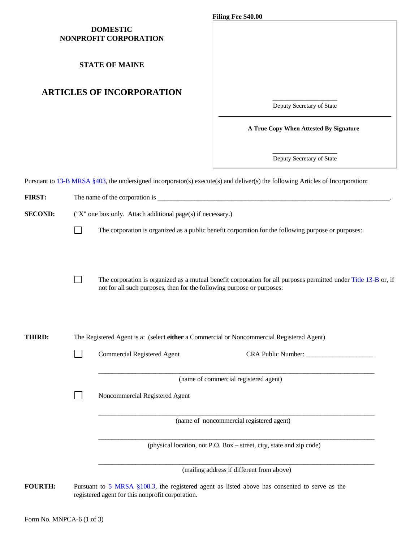### **DOMESTIC NONPROFIT CORPORATION**

# **ARTICLES OF INCORPORATION**

|                                                                                                                                | Filing Fee \$40.00                     |
|--------------------------------------------------------------------------------------------------------------------------------|----------------------------------------|
| <b>DOMESTIC</b><br>NONPROFIT CORPORATION                                                                                       |                                        |
| <b>STATE OF MAINE</b>                                                                                                          |                                        |
| <b>ARTICLES OF INCORPORATION</b>                                                                                               |                                        |
|                                                                                                                                | Deputy Secretary of State              |
|                                                                                                                                | A True Copy When Attested By Signature |
|                                                                                                                                | Deputy Secretary of State              |
| Pursuant to 13-B MRSA §403, the undersigned incorporator(s) execute(s) and deliver(s) the following Articles of Incorporation: |                                        |
| <b>FIRST:</b><br>The name of the corporation is                                                                                |                                        |

| <b>FIRST:</b>  |                                                                                                                                 |                                                                                                                                                                                           |  |  |  |
|----------------|---------------------------------------------------------------------------------------------------------------------------------|-------------------------------------------------------------------------------------------------------------------------------------------------------------------------------------------|--|--|--|
| <b>SECOND:</b> | ("X" one box only. Attach additional page(s) if necessary.)                                                                     |                                                                                                                                                                                           |  |  |  |
|                |                                                                                                                                 | The corporation is organized as a public benefit corporation for the following purpose or purposes:                                                                                       |  |  |  |
|                |                                                                                                                                 | The corporation is organized as a mutual benefit corporation for all purposes permitted under Title 13-B or, if<br>not for all such purposes, then for the following purpose or purposes: |  |  |  |
| THIRD:         | The Registered Agent is a: (select either a Commercial or Noncommercial Registered Agent)<br><b>Commercial Registered Agent</b> |                                                                                                                                                                                           |  |  |  |
|                |                                                                                                                                 | (name of commercial registered agent)                                                                                                                                                     |  |  |  |
|                |                                                                                                                                 | Noncommercial Registered Agent                                                                                                                                                            |  |  |  |
|                |                                                                                                                                 | (name of noncommercial registered agent)                                                                                                                                                  |  |  |  |
|                |                                                                                                                                 | (physical location, not P.O. Box - street, city, state and zip code)                                                                                                                      |  |  |  |
|                |                                                                                                                                 | (mailing address if different from above)                                                                                                                                                 |  |  |  |
| <b>FOURTH:</b> |                                                                                                                                 | Pursuant to 5 MRSA §108.3, the registered agent as listed above has consented to serve as the                                                                                             |  |  |  |

registered agent for this nonprofit corporation.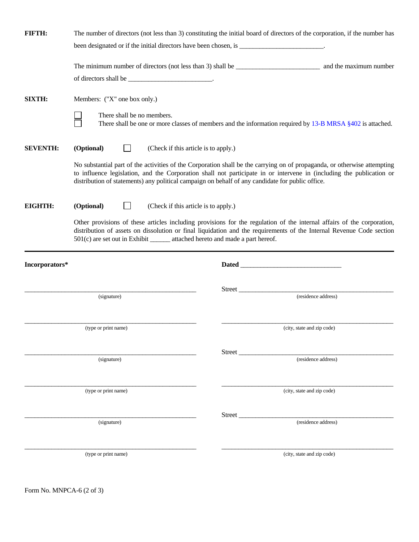| FIFTH:          |                                                                               | The number of directors (not less than 3) constituting the initial board of directors of the corporation, if the number has                                                                                                                                                                                                                          |  |  |
|-----------------|-------------------------------------------------------------------------------|------------------------------------------------------------------------------------------------------------------------------------------------------------------------------------------------------------------------------------------------------------------------------------------------------------------------------------------------------|--|--|
|                 |                                                                               |                                                                                                                                                                                                                                                                                                                                                      |  |  |
|                 |                                                                               |                                                                                                                                                                                                                                                                                                                                                      |  |  |
| SIXTH:          | Members: ("X" one box only.)                                                  |                                                                                                                                                                                                                                                                                                                                                      |  |  |
|                 | There shall be no members.                                                    | There shall be one or more classes of members and the information required by 13-B MRSA §402 is attached.                                                                                                                                                                                                                                            |  |  |
| <b>SEVENTH:</b> | (Optional)<br>(Check if this article is to apply.)                            |                                                                                                                                                                                                                                                                                                                                                      |  |  |
|                 |                                                                               | No substantial part of the activities of the Corporation shall be the carrying on of propaganda, or otherwise attempting<br>to influence legislation, and the Corporation shall not participate in or intervene in (including the publication or<br>distribution of statements) any political campaign on behalf of any candidate for public office. |  |  |
| <b>EIGHTH:</b>  | (Optional)<br>(Check if this article is to apply.)                            |                                                                                                                                                                                                                                                                                                                                                      |  |  |
|                 | 501(c) are set out in Exhibit _______ attached hereto and made a part hereof. | Other provisions of these articles including provisions for the regulation of the internal affairs of the corporation,<br>distribution of assets on dissolution or final liquidation and the requirements of the Internal Revenue Code section                                                                                                       |  |  |
| Incorporators*  |                                                                               |                                                                                                                                                                                                                                                                                                                                                      |  |  |
|                 |                                                                               | Street                                                                                                                                                                                                                                                                                                                                               |  |  |
|                 | (signature)                                                                   | (residence address)                                                                                                                                                                                                                                                                                                                                  |  |  |
|                 | (type or print name)                                                          | (city, state and zip code)                                                                                                                                                                                                                                                                                                                           |  |  |
|                 |                                                                               |                                                                                                                                                                                                                                                                                                                                                      |  |  |
|                 | (signature)                                                                   | Street<br>(residence address)                                                                                                                                                                                                                                                                                                                        |  |  |
|                 | (type or print name)                                                          | (city, state and zip code)                                                                                                                                                                                                                                                                                                                           |  |  |
|                 | (signature)                                                                   | Street<br>(residence address)                                                                                                                                                                                                                                                                                                                        |  |  |
|                 | (type or print name)                                                          | (city, state and zip code)                                                                                                                                                                                                                                                                                                                           |  |  |

Form No. MNPCA-6 (2 of 3)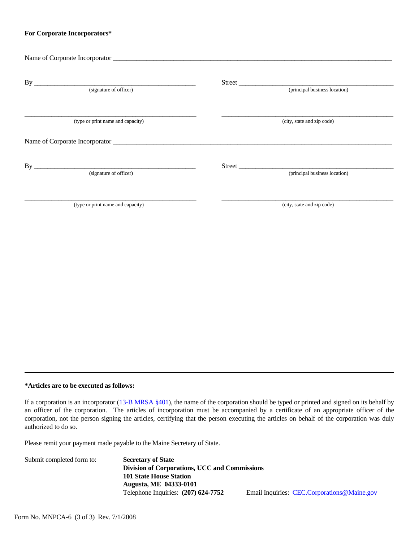#### **For Corporate Incorporators\***

| (principal business location)           |
|-----------------------------------------|
| (city, state and zip code)              |
| Street<br>(principal business location) |
| (city, state and zip code)              |
|                                         |

### **\*Articles are to be executed as follows:**

If a corporation is an incorporator [\(13-B MRSA §401\)](http://janus.state.me.us/legis/statutes/13-b/title13-bsec401.html), the name of the corporation should be typed or printed and signed on its behalf by an officer of the corporation. The articles of incorporation must be accompanied by a certificate of an appropriate officer of the corporation, not the person signing the articles, certifying that the person executing the articles on behalf of the corporation was duly authorized to do so.

Please remit your payment made payable to the Maine Secretary of State.

| Submit completed form to: | <b>Secretary of State</b>                     |                                             |
|---------------------------|-----------------------------------------------|---------------------------------------------|
|                           | Division of Corporations, UCC and Commissions |                                             |
|                           | <b>101 State House Station</b>                |                                             |
|                           | <b>Augusta, ME 04333-0101</b>                 |                                             |
|                           | Telephone Inquiries: $(207)$ 624-7752         | Email Inquiries: CEC.Corporations@Maine.gov |